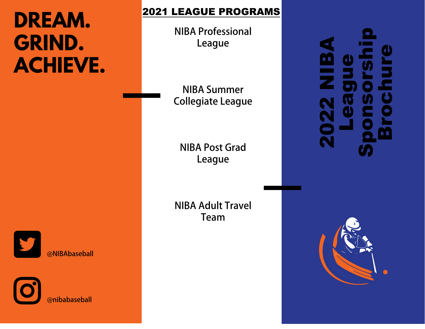# **DREAM. GRIND. ACHIEVE.**

## 2021 LEAGUE PROGRAMS

**NIBA Professional League**

**NIBA Summer Collegiate League**

**NIBA Post Grad League**

**Donate Today!**

 **Donations can be made at:**

**https://www.nibaleague.com/ donate**

2022 NIBA League Sponsorship Brochure



@**NIBAbaseball**

@**nibabaseball**